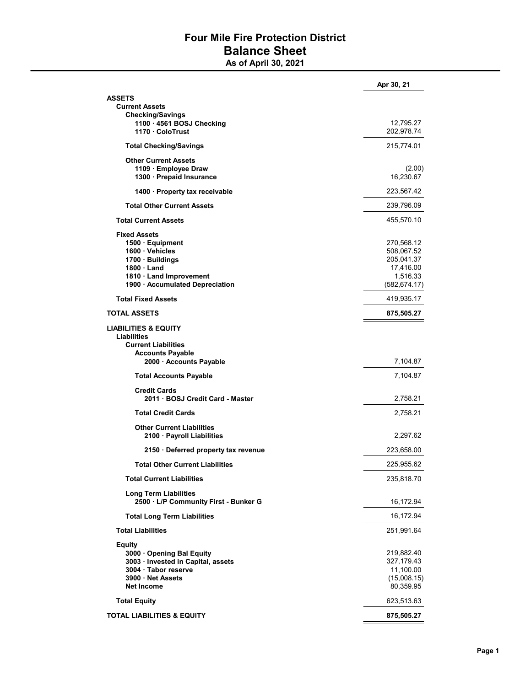## Four Mile Fire Protection District Balance Sheet

As of April 30, 2021

|                                                                | Apr 30, 21               |
|----------------------------------------------------------------|--------------------------|
| ASSETS                                                         |                          |
| <b>Current Assets</b>                                          |                          |
| <b>Checking/Savings</b><br>1100 · 4561 BOSJ Checking           | 12,795.27                |
| 1170 ColoTrust                                                 | 202,978.74               |
| <b>Total Checking/Savings</b>                                  | 215,774.01               |
| <b>Other Current Assets</b>                                    |                          |
| 1109 · Employee Draw                                           | (2.00)                   |
| 1300 - Prepaid Insurance                                       | 16,230.67                |
| 1400 · Property tax receivable                                 | 223,567.42               |
| <b>Total Other Current Assets</b>                              | 239,796.09               |
| <b>Total Current Assets</b>                                    | 455,570.10               |
| <b>Fixed Assets</b>                                            |                          |
| 1500 · Equipment                                               | 270,568.12               |
| 1600 Vehicles                                                  | 508,067.52<br>205,041.37 |
| 1700 · Buildings<br>1800 Land                                  | 17,416.00                |
| 1810 Land Improvement                                          | 1,516.33                 |
| 1900 · Accumulated Depreciation                                | (582, 674.17)            |
| <b>Total Fixed Assets</b>                                      | 419,935.17               |
| TOTAL ASSETS                                                   | 875,505.27               |
| <b>LIABILITIES &amp; EQUITY</b>                                |                          |
| <b>Liabilities</b><br><b>Current Liabilities</b>               |                          |
| <b>Accounts Payable</b>                                        |                          |
| 2000 · Accounts Payable                                        | 7,104.87                 |
| <b>Total Accounts Payable</b>                                  | 7,104.87                 |
| <b>Credit Cards</b>                                            |                          |
| 2011 · BOSJ Credit Card - Master                               | 2,758.21                 |
| <b>Total Credit Cards</b>                                      | 2,758.21                 |
| <b>Other Current Liabilities</b>                               |                          |
| 2100 · Payroll Liabilities                                     | 2,297.62                 |
| 2150 Deferred property tax revenue                             | 223,658.00               |
| <b>Total Other Current Liabilities</b>                         | 225,955.62               |
| <b>Total Current Liabilities</b>                               | 235,818.70               |
| Long Term Liabilities<br>2500 · L/P Community First - Bunker G | 16,172.94                |
| <b>Total Long Term Liabilities</b>                             | 16,172.94                |
| <b>Total Liabilities</b>                                       | 251,991.64               |
| <b>Equity</b>                                                  |                          |
| 3000 Opening Bal Equity                                        | 219,882.40               |
| 3003 · Invested in Capital, assets                             | 327,179.43               |
| 3004 · Tabor reserve                                           | 11,100.00                |
| 3900 Net Assets                                                | (15,008.15)              |
| <b>Net Income</b>                                              | 80,359.95                |
| <b>Total Equity</b>                                            | 623,513.63               |
| <b>TOTAL LIABILITIES &amp; EQUITY</b>                          | 875,505.27               |
|                                                                |                          |